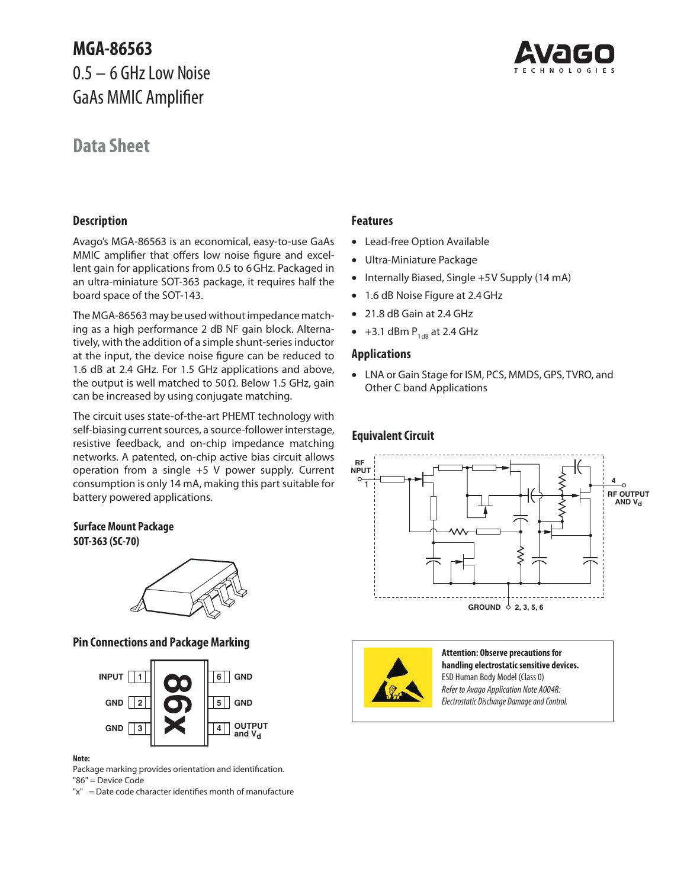## **MGA-86563**  0.5 – 6 GHz Low Noise GaAs MMIC Amplifier

## **Data Sheet**



### **Description**

Avago's MGA-86563 is an economical, easy-to-use GaAs MMIC amplifier that offers low noise figure and excellent gain for applications from 0.5 to 6 GHz. Packaged in an ultra-miniature SOT-363 package, it requires half the board space of the SOT-143.

The MGA-86563 may be used without impedance matching as a high performance 2 dB NF gain block. Alternatively, with the addition of a simple shunt-series inductor at the input, the device noise figure can be reduced to 1.6 dB at 2.4 GHz. For 1.5 GHz applications and above, the output is well matched to 50 $\Omega$ . Below 1.5 GHz, gain can be increased by using conjugate matching.

The circuit uses state-of-the-art PHEMT technology with self-biasing current sources, a source-follower interstage, resistive feedback, and on-chip impedance matching networks. A patented, on-chip active bias circuit allows operation from a single +5 V power supply. Current consumption is only 14 mA, making this part suitable for battery powered applications.

### **Surface Mount Package**

**SOT-363 (SC-70)**



### **Pin Connections and Package Marking**



### **Note:**

Package marking provides orientation and identification. "86" = Device Code

"x" = Date code character identifies month of manufacture

### **Features**

- Lead-free Option Available
- Ultra-Miniature Package
- Internally Biased, Single +5V Supply (14 mA)
- 1.6 dB Noise Figure at 2.4 GHz
- 21.8 dB Gain at 2.4 GHz
- $\bullet$  +3.1 dBm  $P_{1dB}$  at 2.4 GHz

### **Applications**

• LNA or Gain Stage for ISM, PCS, MMDS, GPS, TVRO, and Other C band Applications

### **Equivalent Circuit**





**Attention: Observe precautions for handling electrostatic sensitive devices.** ESD Human Body Model (Class 0) Refer to Avago Application Note A004R: Electrostatic Discharge Damage and Control.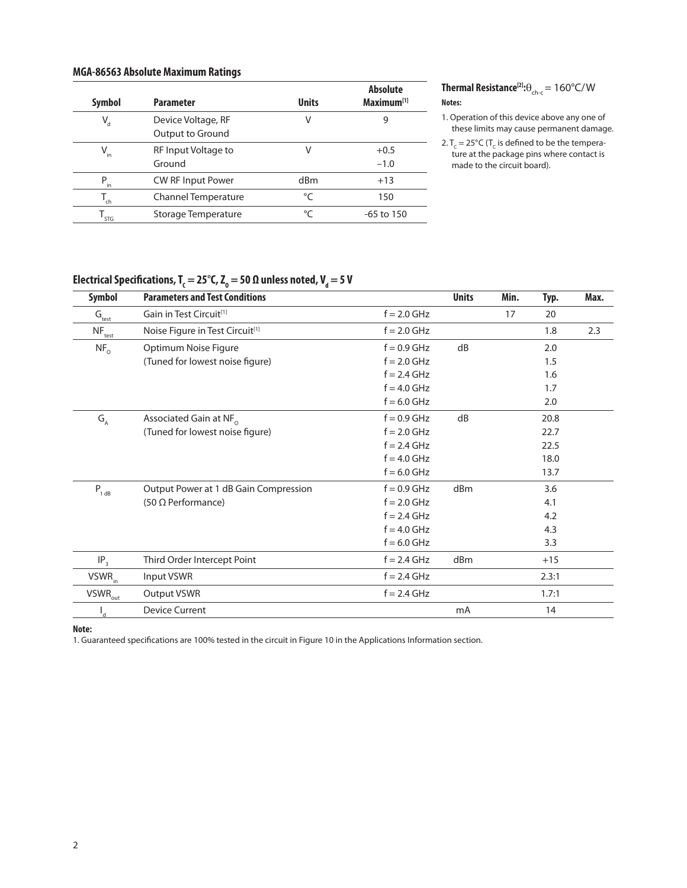### **MGA-86563 Absolute Maximum Ratings**

| <b>Symbol</b>               | <b>Parameter</b>                       | <b>Units</b>    | <b>Absolute</b><br>Maximum <sup>[1]</sup> |
|-----------------------------|----------------------------------------|-----------------|-------------------------------------------|
| $V_{d}$                     | Device Voltage, RF<br>Output to Ground | V               | 9                                         |
| $V_{in}$                    | RF Input Voltage to<br>Ground          | V               | $+0.5$<br>$-1.0$                          |
| $P_{in}$                    | <b>CW RF Input Power</b>               | d <sub>Bm</sub> | $+13$                                     |
| ch                          | <b>Channel Temperature</b>             | $^{\circ}C$     | 150                                       |
| $\mathsf{I}_{\mathsf{STG}}$ | Storage Temperature                    | °C              | $-65$ to 150                              |

**Thermal Resistance**<sup>[2]</sup>:
$$
\theta_{\text{ch-c}} = 160^{\circ} \text{C/W}
$$

### **Notes:**

1. Operation of this device above any one of these limits may cause permanent damage.

### **Electrical Specifications, T** $_{\mathsf{c}}$  **= 25°C, Z** $_{\mathsf{o}}$  **= 50 Ω unless noted, V** $_{\mathsf{d}}$  **= 5 V**

| <b>Symbol</b>                               | <b>Parameters and Test Conditions</b>       |               | <b>Units</b> | Min. | Typ.  | Max. |
|---------------------------------------------|---------------------------------------------|---------------|--------------|------|-------|------|
| $\mathsf{G}_{\underline{\mathsf{test}}}$    | Gain in Test Circuit <sup>[1]</sup>         | $f = 2.0$ GHz |              | 17   | 20    |      |
| $NF_{test}$                                 | Noise Figure in Test Circuit <sup>[1]</sup> | $f = 2.0$ GHz |              |      | 1.8   | 2.3  |
| NF <sub>o</sub>                             | Optimum Noise Figure                        | $f = 0.9$ GHz | dB           |      | 2.0   |      |
|                                             | (Tuned for lowest noise figure)             | $f = 2.0$ GHz |              |      | 1.5   |      |
|                                             |                                             | $f = 2.4$ GHz |              |      | 1.6   |      |
|                                             |                                             | $f = 4.0$ GHz |              |      | 1.7   |      |
|                                             |                                             | $f = 6.0$ GHz |              |      | 2.0   |      |
| $\mathsf{G}_{\scriptscriptstyle\mathsf{A}}$ | Associated Gain at NF <sub>o</sub>          | $f = 0.9$ GHz | dB           |      | 20.8  |      |
|                                             | (Tuned for lowest noise figure)             | $f = 2.0$ GHz |              |      | 22.7  |      |
|                                             |                                             | $f = 2.4$ GHz |              |      | 22.5  |      |
|                                             |                                             | $f = 4.0$ GHz |              |      | 18.0  |      |
|                                             |                                             | $f = 6.0$ GHz |              |      | 13.7  |      |
| $P_{1 dB}$                                  | Output Power at 1 dB Gain Compression       | $f = 0.9$ GHz | dBm          |      | 3.6   |      |
|                                             | $(50 \Omega$ Performance)                   | $f = 2.0$ GHz |              |      | 4.1   |      |
|                                             |                                             | $f = 2.4$ GHz |              |      | 4.2   |      |
|                                             |                                             | $f = 4.0$ GHz |              |      | 4.3   |      |
|                                             |                                             | $f = 6.0$ GHz |              |      | 3.3   |      |
| IP <sub>3</sub>                             | Third Order Intercept Point                 | $f = 2.4$ GHz | dBm          |      | $+15$ |      |
| $VSWR_{in}$                                 | Input VSWR                                  | $f = 2.4$ GHz |              |      | 2.3:1 |      |
| $VSWR_{\text{out}}$                         | Output VSWR                                 | $f = 2.4$ GHz |              |      | 1.7:1 |      |
| d                                           | <b>Device Current</b>                       |               | mA           |      | 14    |      |

**Note:**

1. Guaranteed specifications are 100% tested in the circuit in Figure 10 in the Applications Information section.

<sup>2.</sup>  $T_c = 25^{\circ}C$  (T<sub>c</sub> is defined to be the temperature at the package pins where contact is made to the circuit board).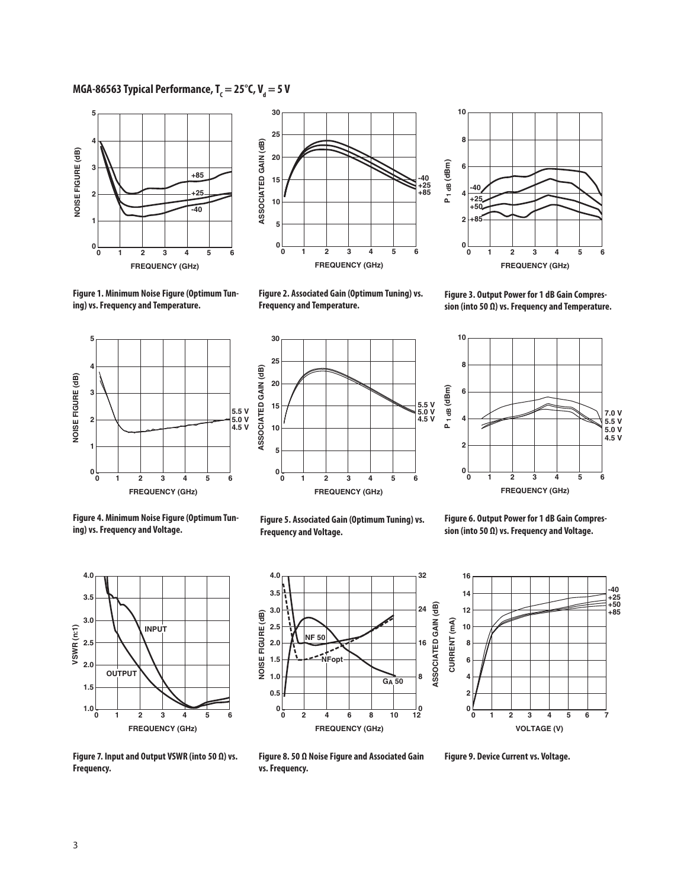### MGA-86563 Typical Performance, T<sub>c</sub> = 25°C, V<sub>d</sub> = 5 V





**0 0 FREQUENCY (GHz) 10 4 2 6 8 1 2 3 5 4 +25 -40 6 +50 +85**

**Figure 1. Minimum Noise Figure (Optimum Tuning) vs. Frequency and Temperature.**



**Figure 3. Output Power for 1 dB Gain Compression (into 50 Ω) vs. Frequency and Temperature.**







**Figure 4. Minimum Noise Figure (Optimum Tuning) vs. Frequency and Voltage.**



**Figure 6. Output Power for 1 dB Gain Compression (into 50 Ω) vs. Frequency and Voltage.**



**32 4.0 3.5 ASSOCIATED GAIN (dB) ATED GAIN (dB) 3.0 24** NOISE FIGURE (dB) **NOISE FIGURE (dB) 2.5 NF 50 2.0 16 1.5 NFopt 1.0 8 GA 50 0.5 0 12 0 8 10 0 4 2 6 FREQUENCY (GHz)**



**Figure 7. Input and Output VSWR (into 50 Ω) vs. Frequency.**

**Figure 8. 50 Ω Noise Figure and Associated Gain vs. Frequency.**

**Figure 9. Device Current vs. Voltage.**

# **Figure 5. Associated Gain (Optimum Tuning) vs.**

3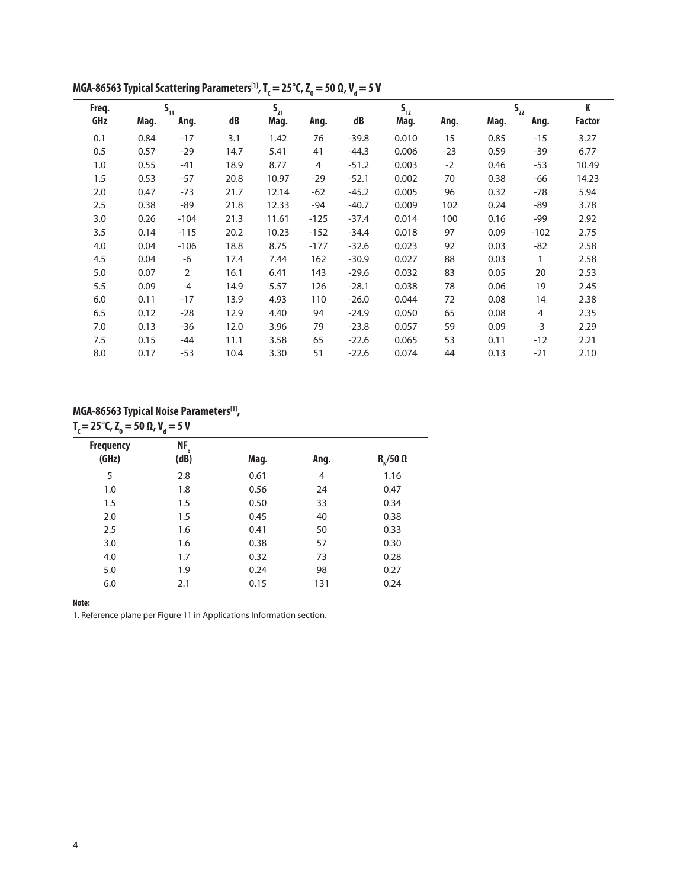| Freq. |      | $S_{11}$       |      | $S_{21}$ |        |         | $S_{12}$ |       |      | $S_{22}$ | K             |
|-------|------|----------------|------|----------|--------|---------|----------|-------|------|----------|---------------|
| GHz   | Mag. | Ang.           | dB   | Mag.     | Ang.   | dB      | Mag.     | Ang.  | Mag. | Ang.     | <b>Factor</b> |
| 0.1   | 0.84 | $-17$          | 3.1  | 1.42     | 76     | $-39.8$ | 0.010    | 15    | 0.85 | $-15$    | 3.27          |
| 0.5   | 0.57 | $-29$          | 14.7 | 5.41     | 41     | $-44.3$ | 0.006    | $-23$ | 0.59 | $-39$    | 6.77          |
| 1.0   | 0.55 | $-41$          | 18.9 | 8.77     | 4      | $-51.2$ | 0.003    | $-2$  | 0.46 | $-53$    | 10.49         |
| 1.5   | 0.53 | $-57$          | 20.8 | 10.97    | $-29$  | $-52.1$ | 0.002    | 70    | 0.38 | -66      | 14.23         |
| 2.0   | 0.47 | $-73$          | 21.7 | 12.14    | $-62$  | $-45.2$ | 0.005    | 96    | 0.32 | $-78$    | 5.94          |
| 2.5   | 0.38 | -89            | 21.8 | 12.33    | -94    | $-40.7$ | 0.009    | 102   | 0.24 | $-89$    | 3.78          |
| 3.0   | 0.26 | $-104$         | 21.3 | 11.61    | $-125$ | $-37.4$ | 0.014    | 100   | 0.16 | -99      | 2.92          |
| 3.5   | 0.14 | $-115$         | 20.2 | 10.23    | $-152$ | $-34.4$ | 0.018    | 97    | 0.09 | $-102$   | 2.75          |
| 4.0   | 0.04 | $-106$         | 18.8 | 8.75     | $-177$ | $-32.6$ | 0.023    | 92    | 0.03 | $-82$    | 2.58          |
| 4.5   | 0.04 | -6             | 17.4 | 7.44     | 162    | $-30.9$ | 0.027    | 88    | 0.03 | 1        | 2.58          |
| 5.0   | 0.07 | $\overline{2}$ | 16.1 | 6.41     | 143    | $-29.6$ | 0.032    | 83    | 0.05 | 20       | 2.53          |
| 5.5   | 0.09 | $-4$           | 14.9 | 5.57     | 126    | $-28.1$ | 0.038    | 78    | 0.06 | 19       | 2.45          |
| 6.0   | 0.11 | $-17$          | 13.9 | 4.93     | 110    | $-26.0$ | 0.044    | 72    | 0.08 | 14       | 2.38          |
| 6.5   | 0.12 | $-28$          | 12.9 | 4.40     | 94     | $-24.9$ | 0.050    | 65    | 0.08 | 4        | 2.35          |
| 7.0   | 0.13 | $-36$          | 12.0 | 3.96     | 79     | $-23.8$ | 0.057    | 59    | 0.09 | $-3$     | 2.29          |
| 7.5   | 0.15 | -44            | 11.1 | 3.58     | 65     | $-22.6$ | 0.065    | 53    | 0.11 | $-12$    | 2.21          |
| 8.0   | 0.17 | $-53$          | 10.4 | 3.30     | 51     | $-22.6$ | 0.074    | 44    | 0.13 | $-21$    | 2.10          |

**MGA-86563 Typical Scattering Parameters<sup>[1]</sup>, T<sub>c</sub> = 25°C, Z<sub>o</sub> = 50 Ω, V<sub>d</sub> = 5 V** 

### **MGA-86563 Typical Noise Parameters[1], T**<sub>C</sub> = 25°C, Z<sub>0</sub> = 50 Ω, V<sub>d</sub> = 5 V

| <b>Frequency</b> | NF,<br>$\Omega$ |      |      |                   |
|------------------|-----------------|------|------|-------------------|
| (GHz)            | (dB)            | Mag. | Ang. | $R_{N}/50 \Omega$ |
| 5                | 2.8             | 0.61 | 4    | 1.16              |
| 1.0              | 1.8             | 0.56 | 24   | 0.47              |
| 1.5              | 1.5             | 0.50 | 33   | 0.34              |
| 2.0              | 1.5             | 0.45 | 40   | 0.38              |
| 2.5              | 1.6             | 0.41 | 50   | 0.33              |
| 3.0              | 1.6             | 0.38 | 57   | 0.30              |
| 4.0              | 1.7             | 0.32 | 73   | 0.28              |
| 5.0              | 1.9             | 0.24 | 98   | 0.27              |
| 6.0              | 2.1             | 0.15 | 131  | 0.24              |

**Note:**

1. Reference plane per Figure 11 in Applications Information section.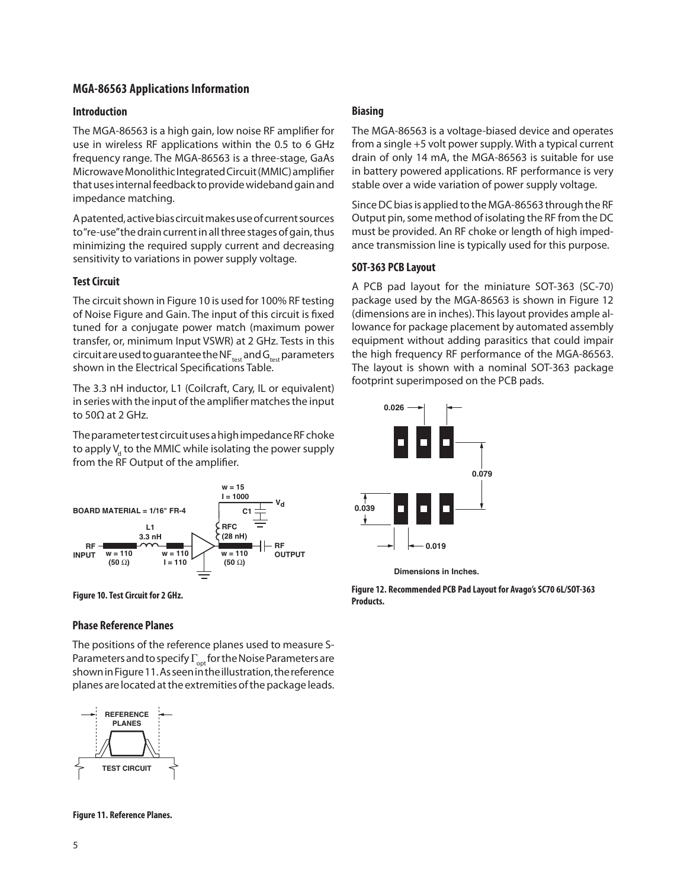### **MGA-86563 Applications Information**

#### **Introduction**

The MGA-86563 is a high gain, low noise RF amplifier for use in wireless RF applications within the 0.5 to 6 GHz frequency range. The MGA-86563 is a three-stage, GaAs Microwave Monolithic Integrated Circuit (MMIC) ampli fier that uses internal feedback to provide wideband gain and impedance matching.

A patented, active bias circuit makes use of current sources to "re-use" the drain current in all three stages of gain, thus minimizing the required supply current and decreasing sensitivity to variations in power supply voltage.

### **Test Circuit**

The circuit shown in Figure 10 is used for 100% RF testing of Noise Figure and Gain. The input of this circuit is fixed tuned for a conjugate power match (maximum power transfer, or, minimum Input VSWR) at 2 GHz. Tests in this circuit are used to guarantee the NF $_{test}$  and  $G_{test}$  parameters shown in the Electrical Specifications Table.

The 3.3 nH inductor, L1 (Coilcraft, Cary, IL or equivalent) in series with the input of the amplifier matches the input to 50Ω at 2 GHz.

The parameter test circuit uses a high impedance RF choke to apply  $\mathsf{V}_{_{\sf d}}$  to the MMIC while isolating the power supply from the RF Output of the amplifier.





### **Phase Reference Planes**

The positions of the reference planes used to measure S-Parameters and to specify  $\Gamma_{\text{opt}}$  for the Noise Parameters are shown in Figure 11. As seen in the illustration, the reference planes are located at the extremities of the package leads.



**Figure 11. Reference Planes.**

#### **Biasing**

The MGA-86563 is a voltage-biased device and operates from a single +5 volt power supply. With a typical current drain of only 14 mA, the MGA-86563 is suitable for use in battery powered applications. RF performance is very stable over a wide variation of power supply voltage.

Since DC bias is applied to the MGA-86563 through the RF Output pin, some method of isolating the RF from the DC must be provided. An RF choke or length of high impedance transmission line is typically used for this purpose.

#### **SOT-363 PCB Layout**

A PCB pad layout for the miniature SOT-363 (SC-70) package used by the MGA-86563 is shown in Figure 12 (dimensions are in inches). This layout provides ample allowance for package placement by automated assembly equipment without adding parasitics that could impair the high frequency RF performance of the MGA-86563. The layout is shown with a nominal SOT-363 package footprint superimposed on the PCB pads.



**Dimensions in Inches.** 

**Figure 12. Recommended PCB Pad Layout for Avago's SC70 6L/SOT-363 Products.**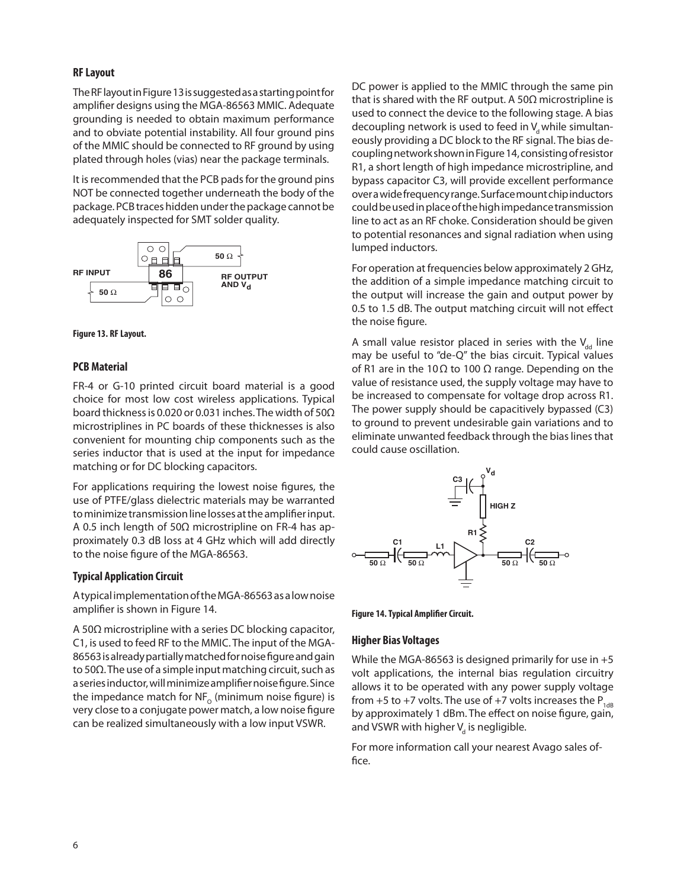### **RF Layout**

The RF layout in Figure 13 is suggested as a starting point for amplifier designs using the MGA-86563 MMIC. Adequate grounding is needed to obtain maximum performance and to obviate potential instability. All four ground pins of the MMIC should be connected to RF ground by using plated through holes (vias) near the package terminals.

It is recommended that the PCB pads for the ground pins NOT be connected together underneath the body of the package. PCB traces hidden under the package cannot be adequately inspected for SMT solder quality.





### **PCB Material**

FR-4 or G-10 printed circuit board material is a good choice for most low cost wireless applications. Typical board thickness is 0.020 or 0.031 inches. The width of 50Ω microstriplines in PC boards of these thicknesses is also convenient for mounting chip components such as the series inductor that is used at the input for impedance matching or for DC blocking capacitors.

For applications requiring the lowest noise figures, the use of PTFE/glass dielectric materials may be warranted to minimize transmission line losses at the amplifier input. A 0.5 inch length of 50 $\Omega$  microstripline on FR-4 has approximately 0.3 dB loss at 4 GHz which will add directly to the noise figure of the MGA-86563.

### **Typical Application Circuit**

A typical implementation of the MGA-86563 as a low noise amplifier is shown in Figure 14.

A 50Ω microstripline with a series DC blocking capacitor, C1, is used to feed RF to the MMIC. The input of the MGA-86563 is already partially matched for noise figure and gain to 50 $\Omega$ . The use of a simple input matching circuit, such as a series inductor, will minimize amplifier noise figure. Since the impedance match for  $NF_{\alpha}$  (minimum noise figure) is very close to a conjugate power match, a low noise figure can be realized simultaneously with a low input VSWR.

DC power is applied to the MMIC through the same pin that is shared with the RF output. A 50 $\Omega$  microstripline is used to connect the device to the following stage. A bias decoupling network is used to feed in  $V_{d}$  while simultaneously providing a DC block to the RF signal. The bias decoupling network shown in Figure 14, consisting of resistor R1, a short length of high impedance microstripline, and bypass capacitor C3, will provide excellent performance over a wide frequency range. Surface mount chip inductors could be used in place of the high impedance transmission line to act as an RF choke. Consideration should be given to potential resonances and signal radiation when using lumped inductors.

For operation at frequencies below approximately 2 GHz, the addition of a simple impedance matching circuit to the output will increase the gain and output power by 0.5 to 1.5 dB. The output matching circuit will not effect the noise figure.

A small value resistor placed in series with the  $V_{dd}$  line may be useful to "de-Q" the bias circuit. Typical values of R1 are in the 10 Ω to 100 Ω range. Depending on the value of resistance used, the supply voltage may have to be increased to compensate for voltage drop across R1. The power supply should be capacitively bypassed (C3) to ground to prevent undesirable gain variations and to eliminate unwanted feedback through the bias lines that could cause oscillation.



**Figure 14. Typical Amplifier Circuit.**

#### **Higher Bias Voltages**

While the MGA-86563 is designed primarily for use in +5 volt applications, the internal bias regulation circuitry allows it to be operated with any power supply voltage from +5 to +7 volts. The use of +7 volts increases the  $P_{1dB}$ by approximately 1 dBm. The effect on noise figure, gain, and VSWR with higher  $\mathsf{V}_{_{\mathrm{d}}}$  is negligible.

For more information call your nearest Avago sales office.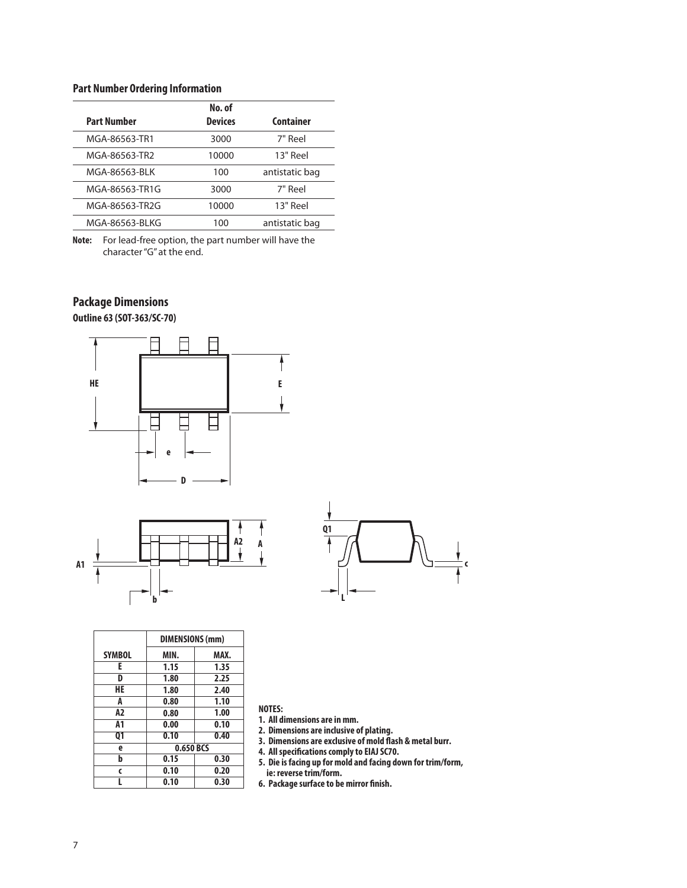### **Part Number Ordering Information**

|                    | No. of         |                  |
|--------------------|----------------|------------------|
| <b>Part Number</b> | <b>Devices</b> | <b>Container</b> |
| MGA-86563-TR1      | 3000           | 7" Reel          |
| MGA-86563-TR2      | 10000          | 13" Reel         |
| MGA-86563-BLK      | 100            | antistatic bag   |
| MGA-86563-TR1G     | 3000           | 7" Reel          |
| MGA-86563-TR2G     | 10000          | 13" Reel         |
| MGA-86563-BLKG     | 100            | antistatic bag   |

**Note:** For lead-free option, the part number will have the character "G" at the end.

### **Package Dimensions**

**Outline 63 (SOT-363/SC-70)**







|               | DIMENSIONS (mm) |      |  |
|---------------|-----------------|------|--|
| <b>SYMBOL</b> | MIN.            | MAX. |  |
| E             | 1.15            | 1.35 |  |
| D             | 1.80            | 2.25 |  |
| HE            | 1.80            | 2.40 |  |
| A             | 0.80            | 1.10 |  |
| A2            | 0.80            | 1.00 |  |
| А1            | 0.00            | 0.10 |  |
| 01            | 0.10            | 0.40 |  |
| e             | 0.650 BCS       |      |  |
| b             | 0.15            | 0.30 |  |
| $\epsilon$    | 0.10            | 0.20 |  |
|               | 0.10            | 0.30 |  |

**NOTES:**

**1. All dimensions are in mm.**

**2. Dimensions are inclusive of plating.**

**3. Dimensions are exclusive of mold flash & metal burr.**

**4. All specifications comply to EIAJ SC70.**

**5. Die is facing up for mold and facing down for trim/form, ie: reverse trim/form.**

**6. Package surface to be mirror finish.**